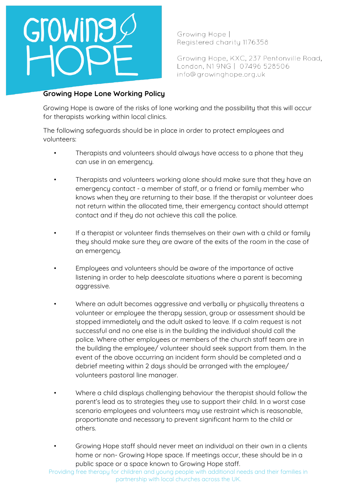

Growing Hope | Registered charity 1176358

Growing Hope, KXC, 237 Pentonville Road, London, N1 9NG | 07496 528506 info@growinghope.org.uk

## **Growing Hope Lone Working Policy**

Growing Hope is aware of the risks of lone working and the possibility that this will occur for therapists working within local clinics.

The following safeguards should be in place in order to protect employees and volunteers:

- Therapists and volunteers should always have access to a phone that they can use in an emergency.
- Therapists and volunteers working alone should make sure that they have an emergency contact - a member of staff, or a friend or family member who knows when they are returning to their base. If the therapist or volunteer does not return within the allocated time, their emergency contact should attempt contact and if they do not achieve this call the police.
- If a therapist or volunteer finds themselves on their own with a child or family they should make sure they are aware of the exits of the room in the case of an emergency.
- Emplouees and volunteers should be aware of the importance of active listening in order to help deescalate situations where a parent is becoming aggressive.
- Where an adult becomes aggressive and verbally or physically threatens a volunteer or employee the therapy session, group or assessment should be stopped immediately and the adult asked to leave. If a calm request is not successful and no one else is in the building the individual should call the police. Where other employees or members of the church staff team are in the building the employee/ volunteer should seek support from them. In the event of the above occurring an incident form should be completed and a debrief meeting within 2 days should be arranged with the employee/ volunteers pastoral line manager.
- Where a child displays challenging behaviour the therapist should follow the parent's lead as to strategies they use to support their child. In a worst case scenario employees and volunteers may use restraint which is reasonable, proportionate and necessary to prevent significant harm to the child or others.
	- Growing Hope staff should never meet an individual on their own in a clients home or non- Growing Hope space. If meetings occur, these should be in a public space or a space known to Growing Hope staff.